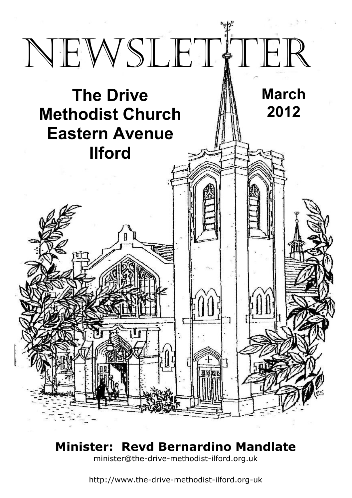

# **Minister: Revd Bernardino Mandlate**

minister@the-drive-methodist-ilford.org.uk

http://www.the-drive-methodist-ilford.org-uk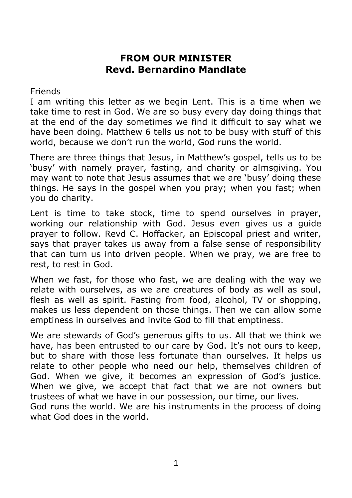#### **FROM OUR MINISTER Revd. Bernardino Mandlate**

Friends

I am writing this letter as we begin Lent. This is a time when we take time to rest in God. We are so busy every day doing things that at the end of the day sometimes we find it difficult to say what we have been doing. Matthew 6 tells us not to be busy with stuff of this world, because we don't run the world, God runs the world.

There are three things that Jesus, in Matthew's gospel, tells us to be 'busy' with namely prayer, fasting, and charity or almsgiving. You may want to note that Jesus assumes that we are 'busy' doing these things. He says in the gospel when you pray; when you fast; when you do charity.

Lent is time to take stock, time to spend ourselves in prayer, working our relationship with God. Jesus even gives us a guide prayer to follow. Revd C. Hoffacker, an Episcopal priest and writer, says that prayer takes us away from a false sense of responsibility that can turn us into driven people. When we pray, we are free to rest, to rest in God.

When we fast, for those who fast, we are dealing with the way we relate with ourselves, as we are creatures of body as well as soul, flesh as well as spirit. Fasting from food, alcohol, TV or shopping, makes us less dependent on those things. Then we can allow some emptiness in ourselves and invite God to fill that emptiness.

We are stewards of God's generous gifts to us. All that we think we have, has been entrusted to our care by God. It's not ours to keep, but to share with those less fortunate than ourselves. It helps us relate to other people who need our help, themselves children of God. When we give, it becomes an expression of God's justice. When we give, we accept that fact that we are not owners but trustees of what we have in our possession, our time, our lives. God runs the world. We are his instruments in the process of doing what God does in the world.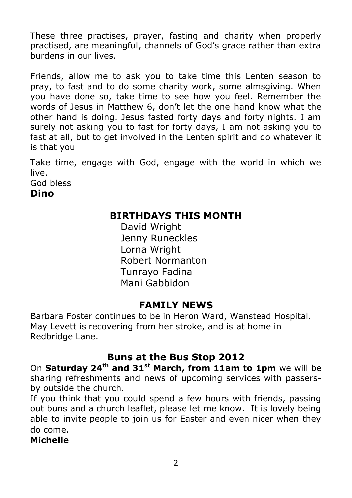These three practises, prayer, fasting and charity when properly practised, are meaningful, channels of God's grace rather than extra burdens in our lives.

Friends, allow me to ask you to take time this Lenten season to pray, to fast and to do some charity work, some almsgiving. When you have done so, take time to see how you feel. Remember the words of Jesus in Matthew 6, don't let the one hand know what the other hand is doing. Jesus fasted forty days and forty nights. I am surely not asking you to fast for forty days, I am not asking you to fast at all, but to get involved in the Lenten spirit and do whatever it is that you

Take time, engage with God, engage with the world in which we live.

God bless

**Dino**

#### **BIRTHDAYS THIS MONTH**

David Wright Jenny Runeckles Lorna Wright Robert Normanton Tunrayo Fadina Mani Gabbidon

## **FAMILY NEWS**

Barbara Foster continues to be in Heron Ward, Wanstead Hospital. May Levett is recovering from her stroke, and is at home in Redbridge Lane.

## **Buns at the Bus Stop 2012**

On **Saturday 24th and 31st March, from 11am to 1pm** we will be sharing refreshments and news of upcoming services with passersby outside the church.

If you think that you could spend a few hours with friends, passing out buns and a church leaflet, please let me know. It is lovely being able to invite people to join us for Easter and even nicer when they do come.

**Michelle**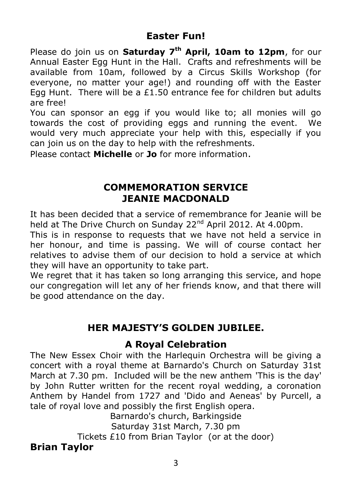## **Easter Fun!**

Please do join us on **Saturday 7th April, 10am to 12pm**, for our Annual Easter Egg Hunt in the Hall. Crafts and refreshments will be available from 10am, followed by a Circus Skills Workshop (for everyone, no matter your age!) and rounding off with the Easter Egg Hunt. There will be a £1.50 entrance fee for children but adults are free!

You can sponsor an egg if you would like to; all monies will go towards the cost of providing eggs and running the event. We would very much appreciate your help with this, especially if you can join us on the day to help with the refreshments.

Please contact **Michelle** or **Jo** for more information.

#### **COMMEMORATION SERVICE JEANIE MACDONALD**

It has been decided that a service of remembrance for Jeanie will be held at The Drive Church on Sunday 22<sup>nd</sup> April 2012. At 4.00pm.

This is in response to requests that we have not held a service in her honour, and time is passing. We will of course contact her relatives to advise them of our decision to hold a service at which they will have an opportunity to take part.

We regret that it has taken so long arranging this service, and hope our congregation will let any of her friends know, and that there will be good attendance on the day.

## **HER MAJESTY'S GOLDEN JUBILEE.**

#### **A Royal Celebration**

The New Essex Choir with the Harlequin Orchestra will be giving a concert with a royal theme at Barnardo's Church on Saturday 31st March at 7.30 pm. Included will be the new anthem 'This is the day' by John Rutter written for the recent royal wedding, a coronation Anthem by Handel from 1727 and 'Dido and Aeneas' by Purcell, a tale of royal love and possibly the first English opera.

Barnardo's church, Barkingside Saturday 31st March, 7.30 pm Tickets £10 from Brian Taylor (or at the door) **Brian Taylor**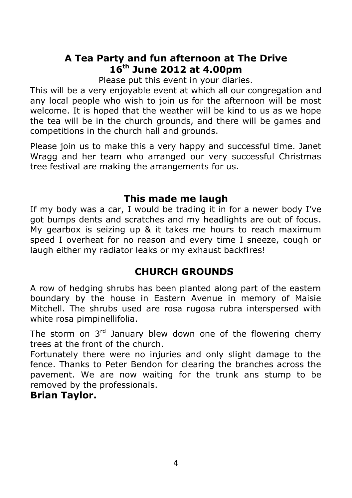#### **A Tea Party and fun afternoon at The Drive 16th June 2012 at 4.00pm**

Please put this event in your diaries.

This will be a very enjoyable event at which all our congregation and any local people who wish to join us for the afternoon will be most welcome. It is hoped that the weather will be kind to us as we hope the tea will be in the church grounds, and there will be games and competitions in the church hall and grounds.

Please join us to make this a very happy and successful time. Janet Wragg and her team who arranged our very successful Christmas tree festival are making the arrangements for us.

#### **This made me laugh**

If my body was a car, I would be trading it in for a newer body I've got bumps dents and scratches and my headlights are out of focus. My gearbox is seizing up & it takes me hours to reach maximum speed I overheat for no reason and every time I sneeze, cough or laugh either my radiator leaks or my exhaust backfires!

## **CHURCH GROUNDS**

A row of hedging shrubs has been planted along part of the eastern boundary by the house in Eastern Avenue in memory of Maisie Mitchell. The shrubs used are rosa rugosa rubra interspersed with white rosa pimpinellifolia.

The storm on  $3<sup>rd</sup>$  January blew down one of the flowering cherry trees at the front of the church.

Fortunately there were no injuries and only slight damage to the fence. Thanks to Peter Bendon for clearing the branches across the pavement. We are now waiting for the trunk ans stump to be removed by the professionals.

#### **Brian Taylor.**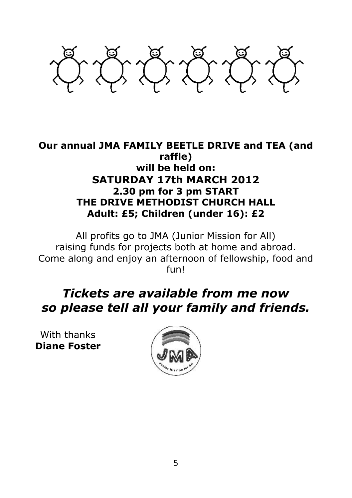

#### **Our annual JMA FAMILY BEETLE DRIVE and TEA (and raffle) will be held on: SATURDAY 17th MARCH 2012 2.30 pm for 3 pm START THE DRIVE METHODIST CHURCH HALL Adult: £5; Children (under 16): £2**

All profits go to JMA (Junior Mission for All) raising funds for projects both at home and abroad. Come along and enjoy an afternoon of fellowship, food and fun!

## *Tickets are available from me now so please tell all your family and friends.*

With thanks **Diane Foster**

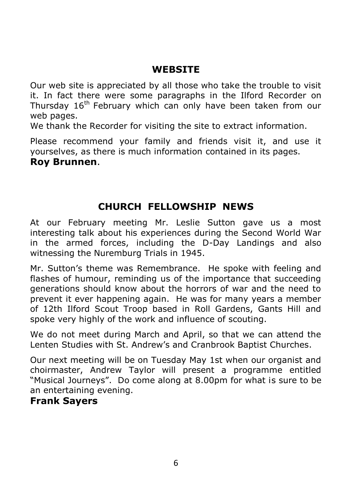## **WEBSITE**

Our web site is appreciated by all those who take the trouble to visit it. In fact there were some paragraphs in the Ilford Recorder on Thursday 16<sup>th</sup> February which can only have been taken from our web pages.

We thank the Recorder for visiting the site to extract information.

Please recommend your family and friends visit it, and use it yourselves, as there is much information contained in its pages.

#### **Roy Brunnen**.

## **CHURCH FELLOWSHIP NEWS**

At our February meeting Mr. Leslie Sutton gave us a most interesting talk about his experiences during the Second World War in the armed forces, including the D-Day Landings and also witnessing the Nuremburg Trials in 1945.

Mr. Sutton's theme was Remembrance. He spoke with feeling and flashes of humour, reminding us of the importance that succeeding generations should know about the horrors of war and the need to prevent it ever happening again. He was for many years a member of 12th Ilford Scout Troop based in Roll Gardens, Gants Hill and spoke very highly of the work and influence of scouting.

We do not meet during March and April, so that we can attend the Lenten Studies with St. Andrew's and Cranbrook Baptist Churches.

Our next meeting will be on Tuesday May 1st when our organist and choirmaster, Andrew Taylor will present a programme entitled "Musical Journeys". Do come along at 8.00pm for what is sure to be an entertaining evening.

#### **Frank Sayers**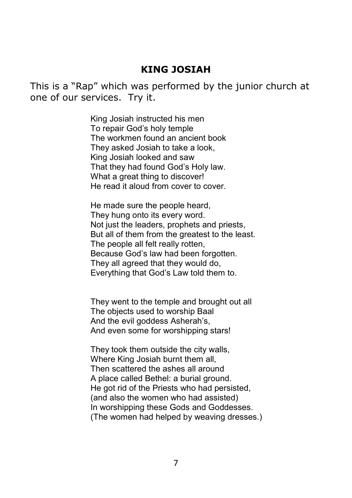#### **KING JOSIAH**

This is a "Rap" which was performed by the junior church at one of our services. Try it.

> King Josiah instructed his men To repair God's holy temple The workmen found an ancient book They asked Josiah to take a look, King Josiah looked and saw That they had found God's Holy law. What a great thing to discover! He read it aloud from cover to cover.

He made sure the people heard, They hung onto its every word. Not just the leaders, prophets and priests, But all of them from the greatest to the least. The people all felt really rotten, Because God's law had been forgotten. They all agreed that they would do, Everything that God's Law told them to.

They went to the temple and brought out all The objects used to worship Baal And the evil goddess Asherah's, And even some for worshipping stars!

They took them outside the city walls, Where King Josiah burnt them all, Then scattered the ashes all around A place called Bethel: a burial ground. He got rid of the Priests who had persisted, (and also the women who had assisted) In worshipping these Gods and Goddesses. (The women had helped by weaving dresses.)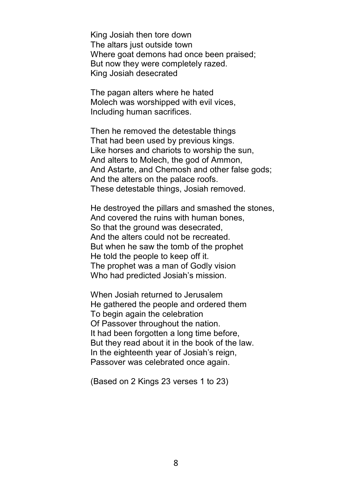King Josiah then tore down The altars just outside town Where goat demons had once been praised: But now they were completely razed. King Josiah desecrated

The pagan alters where he hated Molech was worshipped with evil vices, Including human sacrifices.

Then he removed the detestable things That had been used by previous kings. Like horses and chariots to worship the sun, And alters to Molech, the god of Ammon, And Astarte, and Chemosh and other false gods; And the alters on the palace roofs. These detestable things, Josiah removed.

He destroyed the pillars and smashed the stones, And covered the ruins with human bones, So that the ground was desecrated. And the alters could not be recreated. But when he saw the tomb of the prophet He told the people to keep off it. The prophet was a man of Godly vision Who had predicted Josiah's mission.

When Josiah returned to Jerusalem He gathered the people and ordered them To begin again the celebration Of Passover throughout the nation. It had been forgotten a long time before, But they read about it in the book of the law. In the eighteenth year of Josiah's reign, Passover was celebrated once again.

(Based on 2 Kings 23 verses 1 to 23)